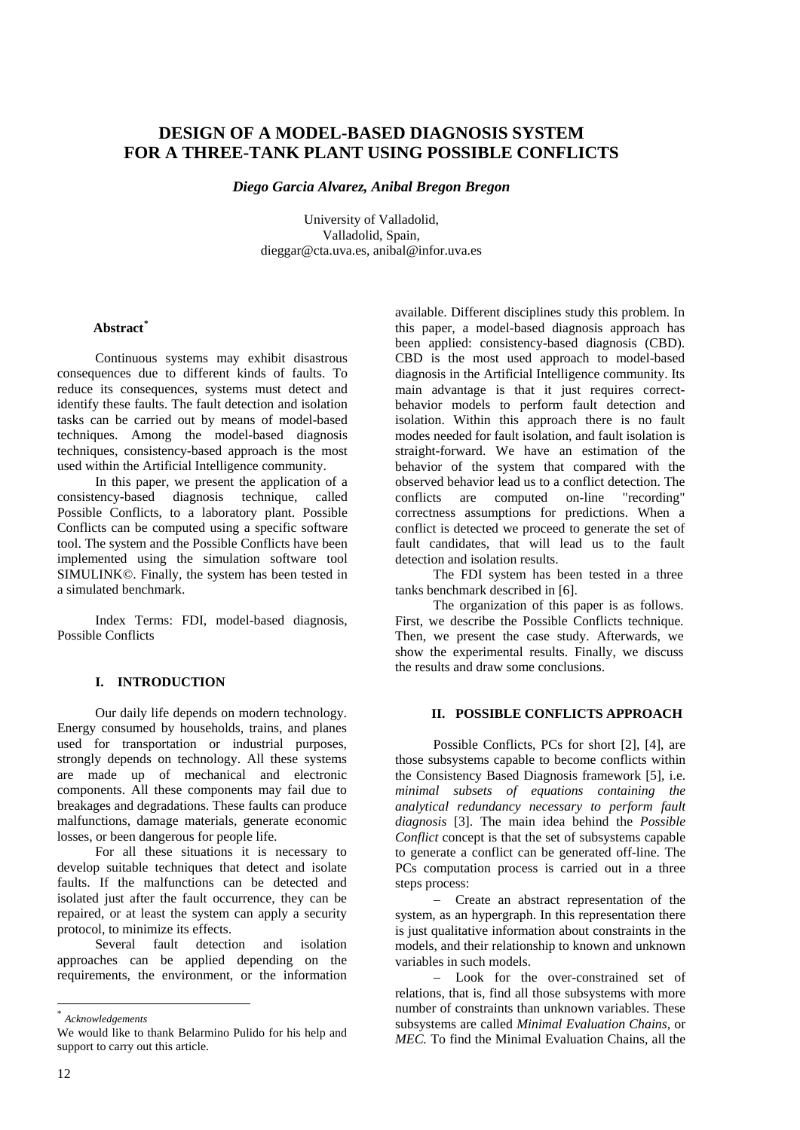# **DESIGN OF A MODEL-BASED DIAGNOSIS SYSTEM FOR A THREE-TANK PLANT USING POSSIBLE CONFLICTS**

*Diego Garcia Alvarez, Anibal Bregon Bregon* 

University of Valladolid, Valladolid, Spain, [dieggar@cta.uva.es,](mailto:dieggar@cta.uva.es) [anibal@infor.uva.es](mailto:anibal@infor.uva.es)

### **Abstract[\\*](#page-0-0)**

Continuous systems may exhibit disastrous consequences due to different kinds of faults. To reduce its consequences, systems must detect and identify these faults. The fault detection and isolation tasks can be carried out by means of model-based techniques. Among the model-based diagnosis techniques, consistency-based approach is the most used within the Artificial Intelligence community.

In this paper, we present the application of a consistency-based diagnosis technique, called Possible Conflicts, to a laboratory plant. Possible Conflicts can be computed using a specific software tool. The system and the Possible Conflicts have been implemented using the simulation software tool SIMULINK©. Finally, the system has been tested in a simulated benchmark.

Index Terms: FDI, model-based diagnosis, Possible Conflicts

# **I. INTRODUCTION**

Our daily life depends on modern technology. Energy consumed by households, trains, and planes used for transportation or industrial purposes, strongly depends on technology. All these systems are made up of mechanical and electronic components. All these components may fail due to breakages and degradations. These faults can produce malfunctions, damage materials, generate economic losses, or been dangerous for people life.

For all these situations it is necessary to develop suitable techniques that detect and isolate faults. If the malfunctions can be detected and isolated just after the fault occurrence, they can be repaired, or at least the system can apply a security protocol, to minimize its effects.

Several fault detection and isolation approaches can be applied depending on the requirements, the environment, or the information available. Different disciplines study this problem. In this paper, a model-based diagnosis approach has been applied: consistency-based diagnosis (CBD). CBD is the most used approach to model-based diagnosis in the Artificial Intelligence community. Its main advantage is that it just requires correctbehavior models to perform fault detection and isolation. Within this approach there is no fault modes needed for fault isolation, and fault isolation is straight-forward. We have an estimation of the behavior of the system that compared with the observed behavior lead us to a conflict detection. The conflicts are computed on-line "recording" correctness assumptions for predictions. When a conflict is detected we proceed to generate the set of fault candidates, that will lead us to the fault detection and isolation results.

The FDI system has been tested in a three tanks benchmark described in [6].

The organization of this paper is as follows. First, we describe the Possible Conflicts technique. Then, we present the case study. Afterwards, we show the experimental results. Finally, we discuss the results and draw some conclusions.

### **II. POSSIBLE CONFLICTS APPROACH**

Possible Conflicts, PCs for short [2], [4], are those subsystems capable to become conflicts within the Consistency Based Diagnosis framework [5], i.e. *minimal subsets of equations containing the analytical redundancy necessary to perform fault diagnosis* [3]. The main idea behind the *Possible Conflict* concept is that the set of subsystems capable to generate a conflict can be generated off-line. The PCs computation process is carried out in a three steps process:

− Create an abstract representation of the system, as an hypergraph. In this representation there is just qualitative information about constraints in the models, and their relationship to known and unknown variables in such models.

− Look for the over-constrained set of relations, that is, find all those subsystems with more number of constraints than unknown variables. These subsystems are called *Minimal Evaluation Chains,* or *MEC.* To find the Minimal Evaluation Chains, all the

l

<span id="page-0-0"></span><sup>\*</sup> *Acknowledgements* 

We would like to thank Belarmino Pulido for his help and support to carry out this article.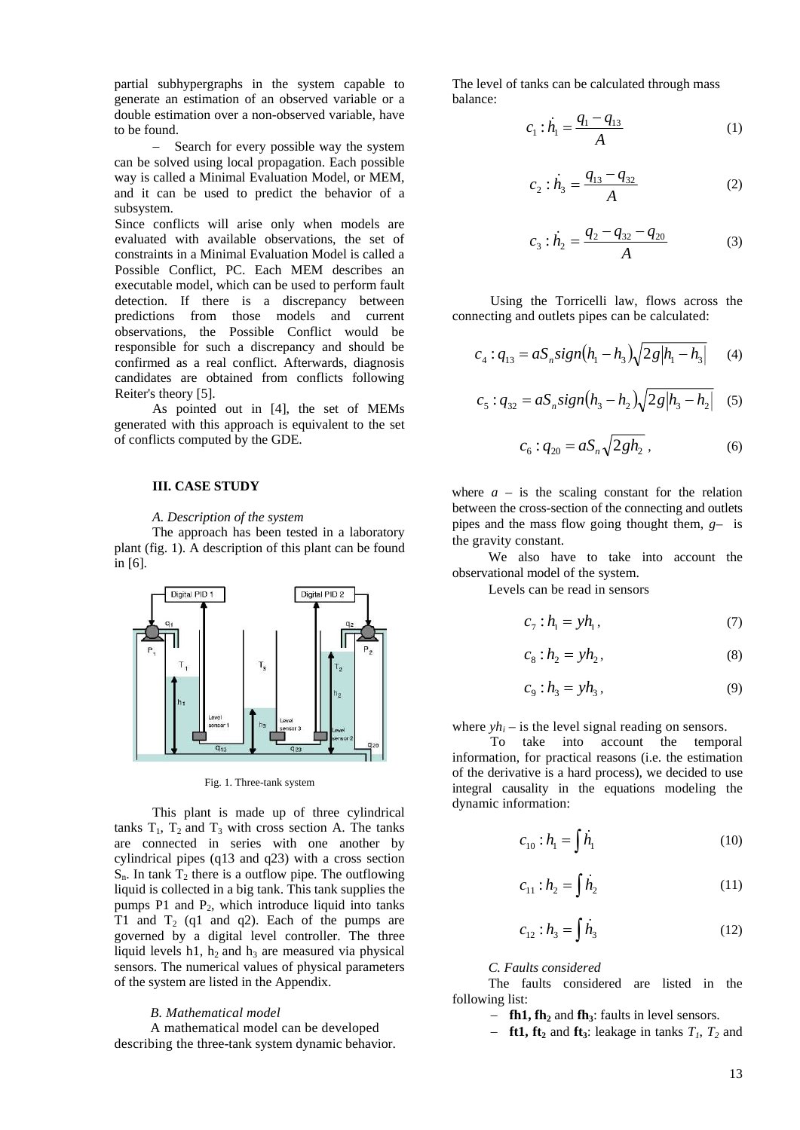partial subhypergraphs in the system capable to generate an estimation of an observed variable or a double estimation over a non-observed variable, have to be found.

Search for every possible way the system can be solved using local propagation. Each possible way is called a Minimal Evaluation Model, or MEM, and it can be used to predict the behavior of a subsystem.

Since conflicts will arise only when models are evaluated with available observations, the set of constraints in a Minimal Evaluation Model is called a Possible Conflict, PC. Each MEM describes an executable model, which can be used to perform fault detection. If there is a discrepancy between predictions from those models and current observations, the Possible Conflict would be responsible for such a discrepancy and should be confirmed as a real conflict. Afterwards, diagnosis candidates are obtained from conflicts following Reiter's theory [5].

As pointed out in [4], the set of MEMs generated with this approach is equivalent to the set of conflicts computed by the GDE.

# **III. CASE STUDY**

#### *A. Description of the system*

The approach has been tested in a laboratory plant (fig. 1). A description of this plant can be found in [6].



Fig. 1. Three-tank system

This plant is made up of three cylindrical tanks  $T_1$ ,  $T_2$  and  $T_3$  with cross section A. The tanks are connected in series with one another by cylindrical pipes (q13 and q23) with a cross section  $S_n$ . In tank  $T_2$  there is a outflow pipe. The outflowing liquid is collected in a big tank. This tank supplies the pumps P1 and  $P_2$ , which introduce liquid into tanks T1 and  $T_2$  (q1 and q2). Each of the pumps are governed by a digital level controller. The three liquid levels h1,  $h_2$  and  $h_3$  are measured via physical sensors. The numerical values of physical parameters of the system are listed in the Appendix.

#### *B. Mathematical model*

A mathematical model can be developed describing the three-tank system dynamic behavior. The level of tanks can be calculated through mass balance:

$$
c_1 : \dot{h}_1 = \frac{q_1 - q_{13}}{A} \tag{1}
$$

$$
c_2 : \dot{h}_3 = \frac{q_{13} - q_{32}}{A} \tag{2}
$$

$$
c_3 : \dot{h}_2 = \frac{q_2 - q_{32} - q_{20}}{A} \tag{3}
$$

Using the Torricelli law, flows across the connecting and outlets pipes can be calculated:

$$
c_4:q_{13}=aS_n sign(h_1-h_3)\sqrt{2g|h_1-h_3|}\qquad(4)
$$

$$
c_5:q_{32} = aS_n sign(h_3 - h_2)\sqrt{2g|h_3 - h_2|} \quad (5)
$$

$$
c_6: q_{20} = aS_n \sqrt{2gh_2} \,, \tag{6}
$$

where  $a -$  is the scaling constant for the relation between the cross-section of the connecting and outlets pipes and the mass flow going thought them, *g–* is the gravity constant.

We also have to take into account the observational model of the system.

Levels can be read in sensors

$$
c_7: h_1 = yh_1, \tag{7}
$$

$$
c_{8}:h_{2}=yh_{2},\qquad \qquad (8)
$$

$$
c_{9}:h_{3}=yh_{3},\qquad \qquad (9)
$$

where  $yh_i$  – is the level signal reading on sensors.

To take into account the temporal information, for practical reasons (i.e. the estimation of the derivative is a hard process), we decided to use integral causality in the equations modeling the dynamic information:

$$
c_{10}:h_1 = \int h_1 \tag{10}
$$

$$
c_{11} : h_2 = \int h_2 \tag{11}
$$

$$
c_{12}: h_3 = \int h_3 \tag{12}
$$

*C. Faults considered*

The faults considered are listed in the following list:

- − **fh1, fh2** and **fh3**: faults in level sensors.
- $-$  **ft1, ft**<sub>2</sub> and **ft**<sub>3</sub>: leakage in tanks  $T_1$ ,  $T_2$  and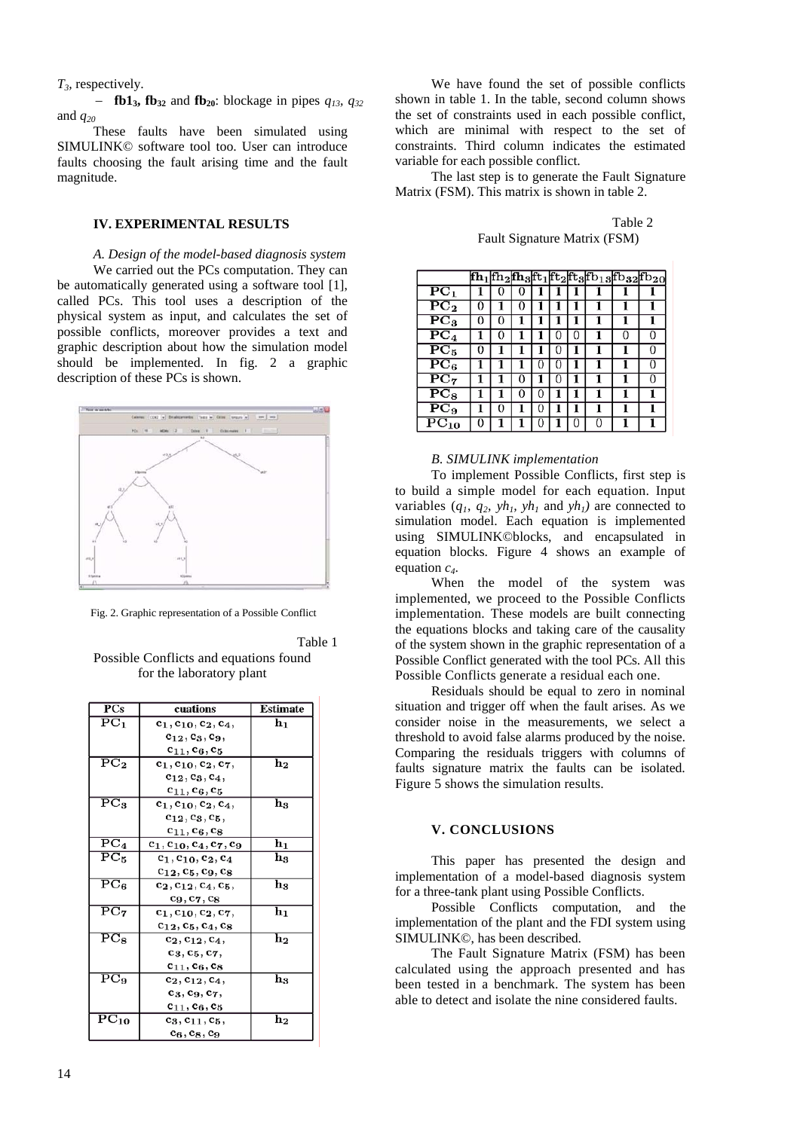*T3,* respectively.

− **fb13, fb32** and **fb20**: blockage in pipes *q13, q32* and *q20*

These faults have been simulated using SIMULINK© software tool too. User can introduce faults choosing the fault arising time and the fault magnitude.

#### **IV. EXPERIMENTAL RESULTS**

*A. Design of the model-based diagnosis system* We carried out the PCs computation. They can be automatically generated using a software tool [1], called PCs. This tool uses a description of the physical system as input, and calculates the set of possible conflicts, moreover provides a text and graphic description about how the simulation model should be implemented. In fig. 2 a graphic description of these PCs is shown.



Fig. 2. Graphic representation of a Possible Conflict

Table 1

Possible Conflicts and equations found for the laboratory plant

| <b>PCs</b>                    | cuations                         | Estimate                  |
|-------------------------------|----------------------------------|---------------------------|
| $\overline{\mathbf{PC}}_1$    | $c_1, c_{10}, c_2, c_4,$         | $\mathbf{h_{1}}$          |
|                               | $c_{12}, c_3, c_9,$              |                           |
|                               | $c_{11}, c_6, c_5$               |                           |
| $\overline{\mathrm{PC}_2}$    | $c_1, c_{10}, c_2, c_7,$         | $\overline{\text{h}}_{2}$ |
|                               | $c_{12}, c_3, c_4,$              |                           |
|                               | $c_{11}, c_6, c_5$               |                           |
| $\overline{\mathrm{PC}}_3$    | $c_1, c_{10}, c_2, c_4,$         | $_{\rm h_3}$              |
|                               | $c_{12}, c_3, c_5,$              |                           |
|                               | $c_{11}, c_6, c_8$               |                           |
| $\overline{\mathbf{PC}}_4$    | $c_1, c_{10}, c_4, c_7, c_9$     | hı                        |
| $\overline{\mathrm{PC}}_5$    | $c_1$ , $c_{10}$ , $c_2$ , $c_4$ | $_{\rm h_3}$              |
|                               | $c_{12}, c_5, c_9, c_8$          |                           |
| $\overline{\mathrm{PC}_6}$    | $c_2, c_{12}, c_4, c_5,$         | $_{\rm h_3}$              |
|                               | $c_9, c_7, c_8$                  |                           |
| $\overline{\mathrm{PC}_{7}}$  | $c_1, c_{10}, c_2, c_7,$         | $\mathbf{h_{1}}$          |
|                               | $c_{12}, c_5, c_4, c_8$          |                           |
| $\overline{\mathrm{PC}_8}$    | $c_2, c_{12}, c_4,$              | $\mathbf{h_{2}}$          |
|                               | $c_3, c_5, c_7,$                 |                           |
|                               | $c_{11}, c_6, c_8$               |                           |
| $\overline{\mathrm{PC}}_{9}$  | $c_2, c_{12}, c_4,$              | $_{\rm h_3}$              |
|                               | $c_3, c_9, c_7,$                 |                           |
|                               | $c_{11}, c_6, c_5$               |                           |
| $\overline{\mathrm{PC}}_{10}$ | $c_3, c_{11}, c_5,$              | $\mathbf{h_{2}}$          |
|                               | $c_6, c_8, c_9$                  |                           |

We have found the set of possible conflicts shown in table 1. In the table, second column shows the set of constraints used in each possible conflict, which are minimal with respect to the set of constraints. Third column indicates the estimated variable for each possible conflict.

The last step is to generate the Fault Signature Matrix (FSM). This matrix is shown in table 2.

Table 2 Fault Signature Matrix (FSM)

|                               |   |   |   |   |   |   |   | fh <sub>1</sub>  fh <sub>2</sub>  fh <sub>3</sub>  ft <sub>1</sub>  ft <sub>2</sub>  ft <sub>3</sub>  fb <sub>13</sub>  fb <sub>32</sub>  fb <sub>20</sub> |
|-------------------------------|---|---|---|---|---|---|---|------------------------------------------------------------------------------------------------------------------------------------------------------------|
| ${ \bf P}\mathbf C_1$         |   |   | O |   |   |   |   |                                                                                                                                                            |
| ${\bf PC_2}$                  | 0 |   | 0 |   |   |   |   | 1                                                                                                                                                          |
| $\overline{\mathrm{PC}}_3$    | O |   |   |   |   |   |   |                                                                                                                                                            |
| $\overline{\mathbf{PC}}_4$    |   |   |   |   |   |   |   | 0                                                                                                                                                          |
| $\overline{PC}_5$             | 0 |   |   |   | 0 |   |   | 0                                                                                                                                                          |
| $\overline{\mathbf{PC}}_6$    |   |   |   | 0 | 0 |   |   | 0                                                                                                                                                          |
| $\overline{\mathrm{PC}}_7$    |   |   | 0 |   | O |   |   | 0                                                                                                                                                          |
| $\overline{\mathrm{PC}}_8$    |   |   | O | 0 |   |   |   |                                                                                                                                                            |
| $\overline{\mathrm{PC}}_9$    |   | 0 |   | 0 |   |   |   |                                                                                                                                                            |
| $\overline{\mathrm{PC}}_{10}$ | 0 |   |   | 0 |   | 0 | 0 |                                                                                                                                                            |

#### *B. SIMULINK implementation*

To implement Possible Conflicts, first step is to build a simple model for each equation. Input variables  $(q_1, q_2, yh_1, yh_1$  and  $yh_1$ ) are connected to simulation model. Each equation is implemented using SIMULINK©blocks, and encapsulated in equation blocks. Figure 4 shows an example of equation *c4*.

When the model of the system was implemented, we proceed to the Possible Conflicts implementation. These models are built connecting the equations blocks and taking care of the causality of the system shown in the graphic representation of a Possible Conflict generated with the tool PCs. All this Possible Conflicts generate a residual each one.

Residuals should be equal to zero in nominal situation and trigger off when the fault arises. As we consider noise in the measurements, we select a threshold to avoid false alarms produced by the noise. Comparing the residuals triggers with columns of faults signature matrix the faults can be isolated. Figure 5 shows the simulation results.

### **V. CONCLUSIONS**

This paper has presented the design and implementation of a model-based diagnosis system for a three-tank plant using Possible Conflicts.

Possible Conflicts computation, and the implementation of the plant and the FDI system using SIMULINK©, has been described.

The Fault Signature Matrix (FSM) has been calculated using the approach presented and has been tested in a benchmark. The system has been able to detect and isolate the nine considered faults.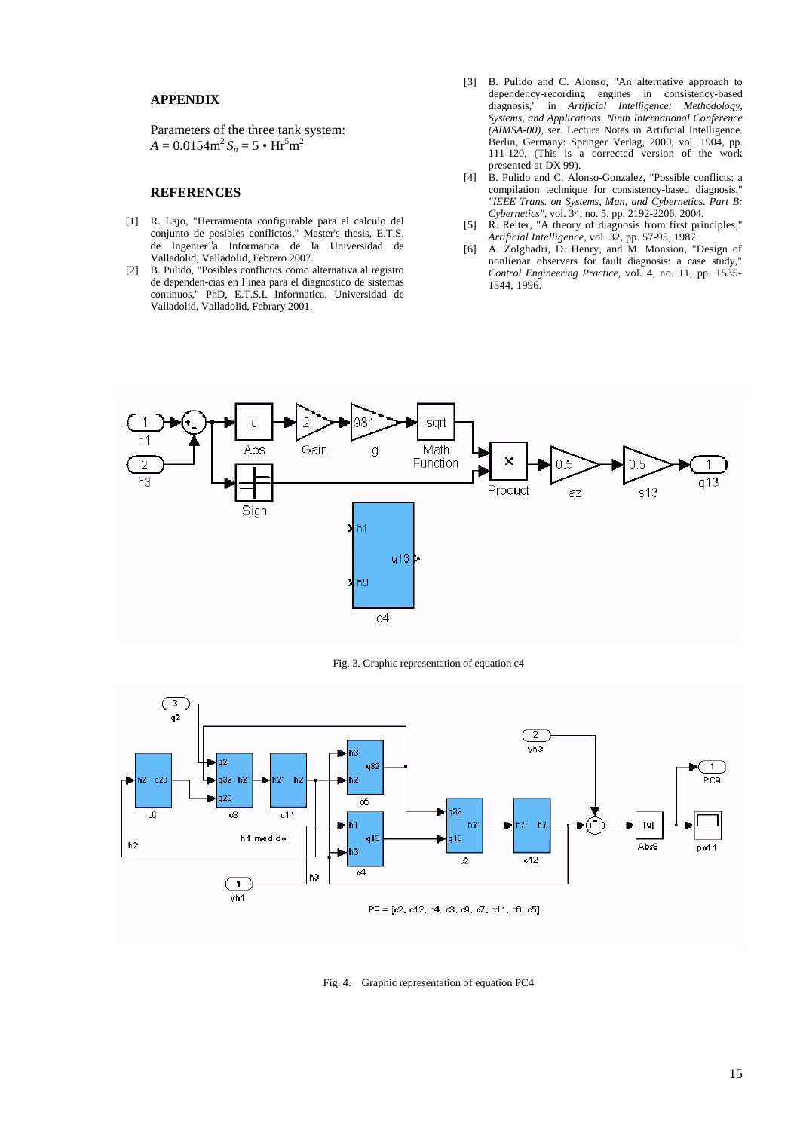# **APPENDIX**

Parameters of the three tank system:  $A = 0.0154 \text{m}^2 S_n = 5 \cdot \text{Hr}^5 \text{m}^2$ 

### **REFERENCES**

- [1] R. Lajo, "Herramienta configurable para el calculo del conjunto de posibles conflictos," Master's thesis, E.T.S. de Ingenier<sup>7</sup>a Informatica de la Universidad de Valladolid, Valladolid, Febrero 2007.
- [2] B. Pulido, "Posibles conflictos como alternativa al registro de dependen-cias en l´ınea para el diagnostico de sistemas continuos," PhD, E.T.S.I. Informatica. Universidad de Valladolid, Valladolid, Febrary 2001.
- [3] B. Pulido and C. Alonso, "An alternative approach to dependency-recording engines in consistency-based diagnosis," in *Artificial Intelligence: Methodology, Systems, and Applications. Ninth International Conference (AIMSA-00),* ser. Lecture Notes in Artificial Intelligence. Berlin, Germany: Springer Verlag, 2000, vol. 1904, pp. 111-120, (This is a corrected version of the work presented at DX'99).
- [4] B. Pulido and C. Alonso-Gonzalez, "Possible conflicts: a compilation technique for consistency-based diagnosis," *"IEEE Trans. on Systems, Man, and Cybernetics. Part B: Cybernetics",* vol. 34, no. 5, pp. 2192-2206, 2004.
- [5] R. Reiter, "A theory of diagnosis from first principles," *Artificial Intelligence,* vol. 32, pp. 57-95, 1987.
- [6] A. Zolghadri, D. Henry, and M. Monsion, "Design of nonlienar observers for fault diagnosis: a case study," *Control Engineering Practice,* vol. 4, no. 11, pp. 1535- 1544, 1996.



Fig. 3. Graphic representation of equation c4



Fig. 4. Graphic representation of equation PC4